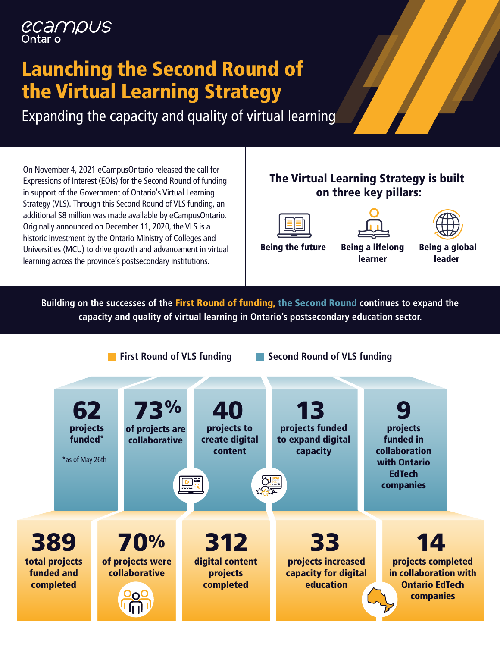# ecampus

# Launching the Second Round of the Virtual Learning Strategy

Expanding the capacity and quality of virtual learning

On November 4, 2021 eCampusOntario released the call for Expressions of Interest (EOIs) for the Second Round of funding in support of the Government of Ontario's Virtual Learning Strategy (VLS). Through this Second Round of VLS funding, an additional \$8 million was made available by eCampusOntario. Originally announced on December 11, 2020, the VLS is a historic investment by the Ontario Ministry of Colleges and Universities (MCU) to drive growth and advancement in virtual learning across the province's postsecondary institutions.

#### The Virtual Learning Strategy is built on three key pillars:







Being the future Being a lifelong

learner

Being a global leader

**Building on the successes of the** First Round of funding, the Second Round **continues to expand the capacity and quality of virtual learning in Ontario's postsecondary education sector.** 

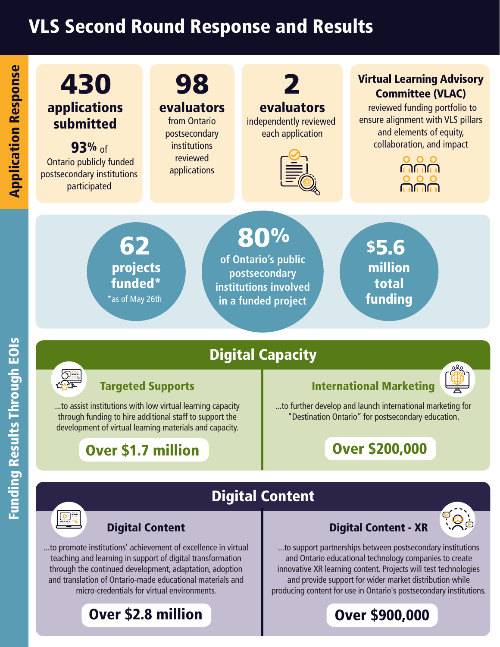# VLS Second Round Response and Results



Digital Content

Funding Results Thr

#### Targeted Supports

...to assist institutions with low virtual learning capacity through funding to hire additional staff to support the development of virtual learning materials and capacity.

#### Over \$1.7 million

#### International Marketing



...to further develop and launch international marketing for "Destination Ontario" for postsecondary education.

### Over \$200,000

# $\boxed{\frac{\triangleright}{\underbrace{\triangleright}}\ \frac{\cdot}{\cdot}}$

# Digital Content

...to promote institutions' achievement of excellence in virtual teaching and learning in support of digital transformation through the continued development, adaptation, adoption and translation of Ontario-made educational materials and micro-credentials for virtual environments.

#### Over \$2.8 million

#### Digital Content - XR



...to support partnerships between postsecondary institutions and Ontario educational technology companies to create innovative XR learning content. Projects will test technologies and provide support for wider market distribution while producing content for use in Ontario's postsecondary institutions.

Over \$900,000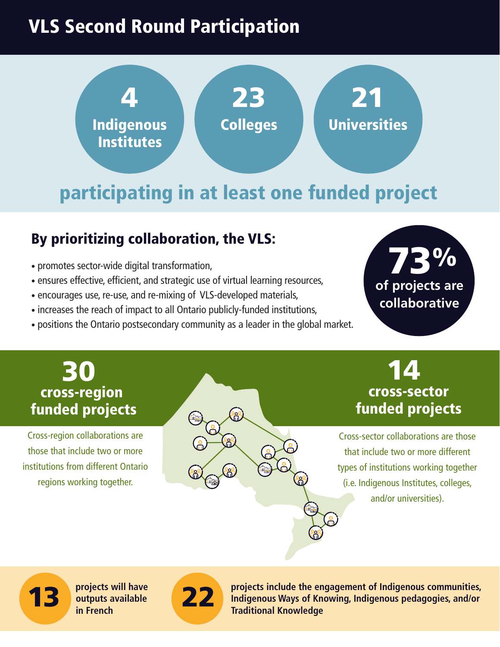# VLS Second Round Participation



# participating in at least one funded project

ൣ

#### By prioritizing collaboration, the VLS:

- promotes sector-wide digital transformation,
- ensures effective, efficient, and strategic use of virtual learning resources,
- encourages use, re-use, and re-mixing of VLS-developed materials,
- increases the reach of impact to all Ontario publicly-funded institutions,
- positions the Ontario postsecondary community as a leader in the global market.



#### **B**{0 cross-region funded projects

Cross-region collaborations are those that include two or more institutions from different Ontario regions working together.

14 cross-sector funded projects

Cross-sector collaborations are those that include two or more different types of institutions working together (i.e. Indigenous Institutes, colleges, and/or universities).

13 **projects will have outputs available** 



**22 projects include the engagement of Indigenous communities, projects include the engagement of Indigenous communities, Indigenous Ways of Knowing, Indigenous pedagogies, and/or Traditional Knowledge**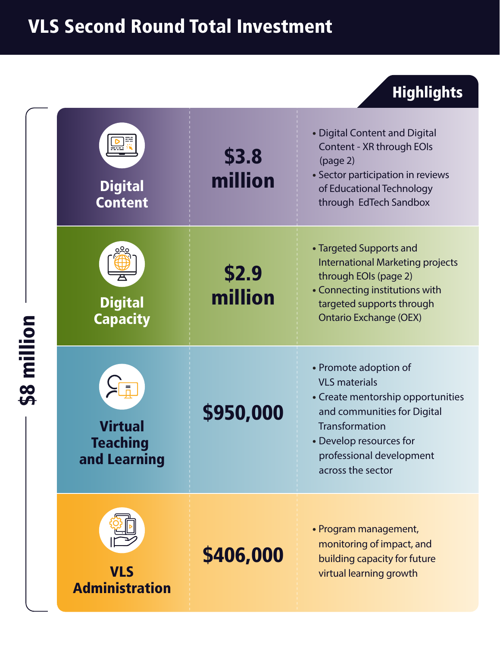# VLS Second Round Total Investment

## Highlights

| million<br>88 | <b>Digital</b><br><b>Content</b>                                                    | \$3.8<br>million | • Digital Content and Digital<br>Content - XR through EOIs<br>(page 2)<br>• Sector participation in reviews<br>of Educational Technology<br>through EdTech Sandbox                                              |
|---------------|-------------------------------------------------------------------------------------|------------------|-----------------------------------------------------------------------------------------------------------------------------------------------------------------------------------------------------------------|
|               | <b>Digital</b><br><b>Capacity</b>                                                   | \$2.9<br>million | • Targeted Supports and<br><b>International Marketing projects</b><br>through EOIs (page 2)<br>• Connecting institutions with<br>targeted supports through<br><b>Ontario Exchange (OEX)</b>                     |
|               | $\frac{1}{\sqrt{\frac{1}{n}}}$<br><b>Virtual</b><br><b>Teaching</b><br>and Learning | \$950,000        | • Promote adoption of<br><b>VLS</b> materials<br>• Create mentorship opportunities<br>and communities for Digital<br>Transformation<br>• Develop resources for<br>professional development<br>across the sector |
|               | <b>VLS</b><br><b>Administration</b>                                                 | \$406,000        | • Program management,<br>monitoring of impact, and<br>building capacity for future<br>virtual learning growth                                                                                                   |